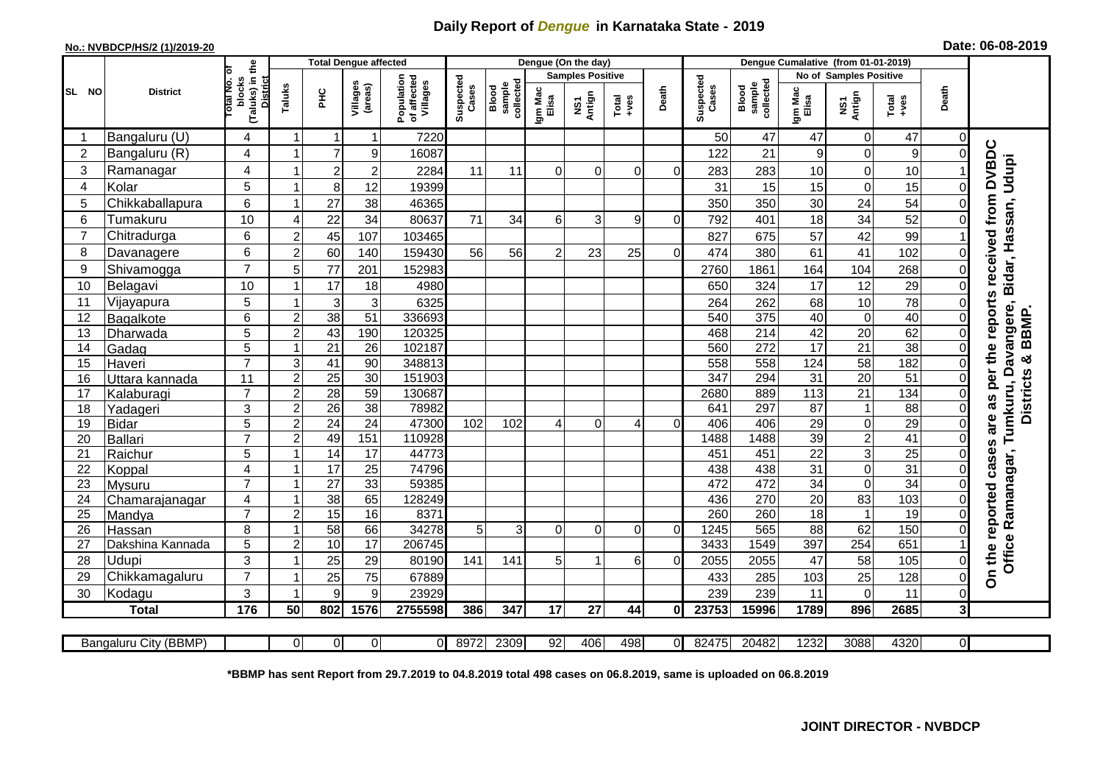## **Daily Report of** *Dengue* **in Karnataka State - 2019**

## **No.: NVBDCP/HS/2 (1)/2019-20 Date: 06-08-2019**

|                | <b>District</b>       |                                                             | <b>Total Dengue affected</b> |                 |                     |                                       |                    |                              |                         | Dengue (On the day) |          |          |                    |                              |                  |                               |                  |                |                                             |
|----------------|-----------------------|-------------------------------------------------------------|------------------------------|-----------------|---------------------|---------------------------------------|--------------------|------------------------------|-------------------------|---------------------|----------|----------|--------------------|------------------------------|------------------|-------------------------------|------------------|----------------|---------------------------------------------|
|                |                       |                                                             |                              |                 |                     |                                       |                    |                              | <b>Samples Positive</b> |                     |          |          |                    |                              |                  | <b>No of Samples Positive</b> |                  |                |                                             |
| SL NO          |                       | (Taluks) in the<br>otal No. of<br>blocks<br><b>District</b> | Taluks                       | 꾿               | Villages<br>(areas) | Population<br>of affected<br>Villages | Suspected<br>Cases | sample<br>collected<br>Blood | Igm Mac<br>Elisa        | NS1<br>Antign       | $Totael$ | Death    | Suspected<br>Cases | collected<br>sample<br>Blood | Igm Mac<br>Elisa | NS1<br>Antign                 | $Tota$<br>$+ves$ | Death          |                                             |
|                | Bangaluru (U)         | 4                                                           | -1                           |                 | 1                   | 7220                                  |                    |                              |                         |                     |          |          | 50                 | 47                           | 47               | $\mathbf 0$                   | 47               | $\Omega$       |                                             |
| $\overline{2}$ | Bangaluru (R)         | 4                                                           |                              | $\overline{7}$  | 9                   | 16087                                 |                    |                              |                         |                     |          |          | 122                | 21                           | $\boldsymbol{9}$ | $\mathbf 0$                   | $\mathsf g$      | $\Omega$       |                                             |
| 3              | Ramanagar             | 4                                                           |                              | $\overline{c}$  | $\overline{c}$      | 2284                                  | 11                 | 11                           | $\Omega$                | $\Omega$            | $\Omega$ | $\Omega$ | 283                | 283                          | 10               | $\mathbf 0$                   | 10               |                | received from DVBDC<br>Bidar, Hassan, Udupi |
| $\overline{4}$ | Kolar                 | 5                                                           |                              | 8               | 12                  | 19399                                 |                    |                              |                         |                     |          |          | 31                 | 15                           | 15               | $\mathbf 0$                   | 15               | $\mathbf 0$    |                                             |
| 5              | Chikkaballapura       | $6\phantom{1}$                                              |                              | 27              | 38                  | 46365                                 |                    |                              |                         |                     |          |          | 350                | 350                          | 30               | 24                            | 54               | $\Omega$       |                                             |
| 6              | Tumakuru              | 10                                                          | $\boldsymbol{\Delta}$        | 22              | 34                  | 80637                                 | 71                 | 34                           | 6 <sup>1</sup>          | 3                   | 9        | $\Omega$ | 792                | 401                          | 18               | $\overline{34}$               | 52               | 0              |                                             |
| $\overline{7}$ | Chitradurga           | 6                                                           | $\overline{2}$               | 45              | 107                 | 103465                                |                    |                              |                         |                     |          |          | 827                | 675                          | 57               | $\overline{42}$               | 99               |                |                                             |
| 8              | Davanagere            | 6                                                           | $\overline{2}$               | 60              | 140                 | 159430                                | 56                 | 56                           | $\overline{2}$          | 23                  | 25       | $\Omega$ | 474                | 380                          | 61               | 41                            | 102              | $\Omega$       |                                             |
| 9              | Shivamogga            | $\overline{7}$                                              | 5                            | 77              | 201                 | 152983                                |                    |                              |                         |                     |          |          | 2760               | 1861                         | 164              | 104                           | 268              | 0              |                                             |
| 10             | Belagavi              | 10                                                          |                              | 17              | 18                  | 4980                                  |                    |                              |                         |                     |          |          | 650                | 324                          | 17               | 12                            | 29               | 0              |                                             |
| 11             | Vijayapura            | 5                                                           |                              | 3               | 3                   | 6325                                  |                    |                              |                         |                     |          |          | 264                | 262                          | 68               | 10                            | 78               | 0              | reports                                     |
| 12             | Bagalkote             | 6                                                           | $\overline{2}$               | 38              | 51                  | 336693                                |                    |                              |                         |                     |          |          | 540                | $\overline{375}$             | $\overline{40}$  | $\pmb{0}$                     | 40               | $\mathbf 0$    | Davangere,<br><b>BBMP</b>                   |
| 13             | Dharwada              | 5                                                           | $\overline{2}$               | 43              | 190                 | 120325                                |                    |                              |                         |                     |          |          | 468                | $\overline{214}$             | 42               | $\overline{20}$               | 62               | $\Omega$       |                                             |
| 14             | Gadag                 | $\overline{5}$                                              |                              | $\overline{21}$ | $\overline{26}$     | 102187                                |                    |                              |                         |                     |          |          | 560                | $\overline{272}$             | 17               | $\overline{21}$               | 38               | $\mathbf 0$    |                                             |
| 15             | Haveri                | $\overline{7}$                                              | 3                            | 41              | 90                  | 348813                                |                    |                              |                         |                     |          |          | 558                | 558                          | 124              | $\overline{58}$               | 182              | $\mathbf 0$    | ×                                           |
| 16             | Uttara kannada        | 11                                                          | $\overline{2}$               | $\overline{25}$ | $\overline{30}$     | 151903                                |                    |                              |                         |                     |          |          | 347                | 294                          | $\overline{31}$  | $\overline{20}$               | 51               | $\Omega$       | per the<br><b>Districts</b>                 |
| 17             | Kalaburagi            | $\overline{7}$                                              | $\overline{2}$               | 28              | 59                  | 130687                                |                    |                              |                         |                     |          |          | 2680               | 889                          | 113              | 21                            | 134              | 0              | as                                          |
| 18             | Yadageri              | 3                                                           | $\overline{2}$               | 26              | 38                  | 78982                                 |                    |                              |                         |                     |          |          | 641                | 297                          | 87               | $\mathbf{1}$                  | 88               | $\Omega$       |                                             |
| 19             | Bidar                 | 5                                                           | $\overline{2}$               | 24              | $\overline{24}$     | 47300                                 | 102                | 102                          | 4                       | $\Omega$            | 4        | 0        | 406                | 406                          | 29               | $\mathbf 0$                   | 29               | $\mathbf 0$    | Tumkuru,<br>are                             |
| 20             | Ballari               | $\overline{7}$                                              | $\overline{2}$               | 49              | 151                 | 110928                                |                    |                              |                         |                     |          |          | 1488               | 1488                         | 39               | $\overline{2}$                | 41               | $\Omega$       | S)                                          |
| 21             | Raichur               | 5                                                           |                              | 14              | $\overline{17}$     | 44773                                 |                    |                              |                         |                     |          |          | 451                | 451                          | $\overline{22}$  | $\overline{3}$                | $\overline{25}$  | 0              | cases                                       |
| 22             | Koppal                | 4                                                           |                              | 17              | 25                  | 74796                                 |                    |                              |                         |                     |          |          | 438                | 438                          | 31               | $\overline{0}$                | $\overline{31}$  | $\Omega$       |                                             |
| 23             | Mysuru                | $\overline{7}$                                              |                              | $\overline{27}$ | 33                  | 59385                                 |                    |                              |                         |                     |          |          | 472                | 472                          | 34               | $\overline{0}$                | 34               | $\mathbf 0$    |                                             |
| 24             | Chamarajanagar        | $\overline{4}$                                              |                              | 38              | 65                  | 128249                                |                    |                              |                         |                     |          |          | 436                | 270                          | 20               | 83                            | 103              | $\mathbf 0$    |                                             |
| 25             | Mandya                | $\overline{7}$                                              | $\overline{2}$               | 15              | 16                  | 8371                                  |                    |                              |                         |                     |          |          | 260                | 260                          | 18               | $\overline{1}$                | 19               | $\mathbf 0$    |                                             |
| 26             | Hassan                | 8                                                           |                              | 58              | 66                  | 34278<br>206745                       | 5                  | 3 <sup>1</sup>               | $\Omega$                | $\Omega$            | $\Omega$ | $\Omega$ | 1245               | 565                          | 88               | 62                            | 150              | 0              |                                             |
| 27             | Dakshina Kannada      | 5                                                           | $\overline{2}$               | 10              | $\overline{17}$     |                                       |                    |                              |                         |                     |          |          | 3433               | 1549                         | 397              | 254                           | 651              |                | Office Ramanagar,                           |
| 28             | <b>Udupi</b>          | 3<br>$\overline{7}$                                         |                              | 25              | 29                  | 80190                                 | 141                | 141                          | 5                       |                     | 6        | $\Omega$ | 2055               | 2055                         | 47               | 58                            | 105              | 0              | On the reported                             |
| 29             | Chikkamagaluru        |                                                             |                              | 25              | 75                  | 67889                                 |                    |                              |                         |                     |          |          | 433                | 285                          | 103              | 25                            | 128              | 0              |                                             |
| 30             | Kodagu                | $\mathbf{3}$                                                |                              | 9               | 9                   | 23929                                 |                    |                              |                         |                     |          |          | 239                | 239                          | 11               | $\mathbf 0$                   | 11               | $\mathbf 0$    |                                             |
|                | <b>Total</b>          | 176                                                         | 50                           | 802             | 1576                | 2755598                               | 386                | 347                          | 17                      | 27                  | 44       | 0I       | 23753              | 15996                        | 1789             | 896                           | 2685             | 3              |                                             |
|                | Bangaluru City (BBMP) |                                                             | $\overline{0}$               | $\overline{0}$  | $\overline{0}$      | $\Omega$                              | 8972               | 2309                         | 92                      | 406                 | 498      | $\Omega$ | 82475              | 20482                        | 1232             | 3088                          | 4320             | $\overline{O}$ |                                             |

**\*BBMP has sent Report from 29.7.2019 to 04.8.2019 total 498 cases on 06.8.2019, same is uploaded on 06.8.2019**